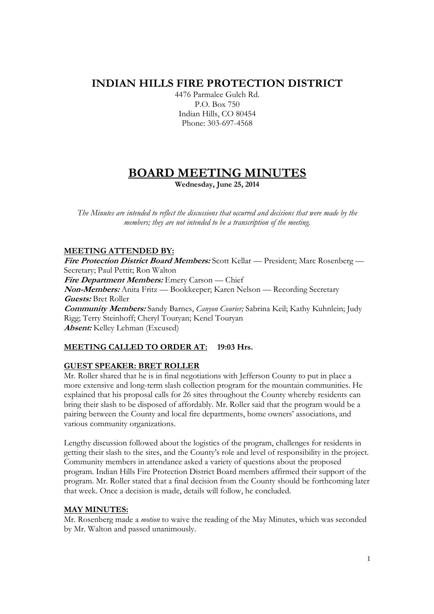## **INDIAN HILLS FIRE PROTECTION DISTRICT**

4476 Parmalee Gulch Rd. P.O. Box 750 Indian Hills, CO 80454 Phone: 303-697-4568

# **BOARD MEETING MINUTES**

**Wednesday, June 25, 2014** 

*The Minutes are intended to reflect the discussions that occurred and decisions that were made by the members; they are not intended to be a transcription of the meeting.* 

## **MEETING ATTENDED BY:**

**Fire Protection District Board Members:** Scott Kellar — President; Marc Rosenberg — Secretary; Paul Pettit; Ron Walton **Fire Department Members:** Emery Carson — Chief **Non-Members:** Anita Fritz — Bookkeeper; Karen Nelson — Recording Secretary **Guests:** Bret Roller **Community Members:** Sandy Barnes, *Canyon Courier;* Sabrina Keil; Kathy Kuhnlein; Judy Rigg; Terry Steinhoff; Cheryl Touryan; Kenel Touryan **Absent:** Kelley Lehman (Excused)

## **MEETING CALLED TO ORDER AT: 19:03 Hrs.**

## **GUEST SPEAKER: BRET ROLLER**

Mr. Roller shared that he is in final negotiations with Jefferson County to put in place a more extensive and long-term slash collection program for the mountain communities. He explained that his proposal calls for 26 sites throughout the County whereby residents can bring their slash to be disposed of affordably. Mr. Roller said that the program would be a pairing between the County and local fire departments, home owners' associations, and various community organizations.

Lengthy discussion followed about the logistics of the program, challenges for residents in getting their slash to the sites, and the County's role and level of responsibility in the project. Community members in attendance asked a variety of questions about the proposed program. Indian Hills Fire Protection District Board members affirmed their support of the program. Mr. Roller stated that a final decision from the County should be forthcoming later that week. Once a decision is made, details will follow, he concluded.

## **MAY MINUTES:**

Mr. Rosenberg made a *motion* to waive the reading of the May Minutes, which was seconded by Mr. Walton and passed unanimously.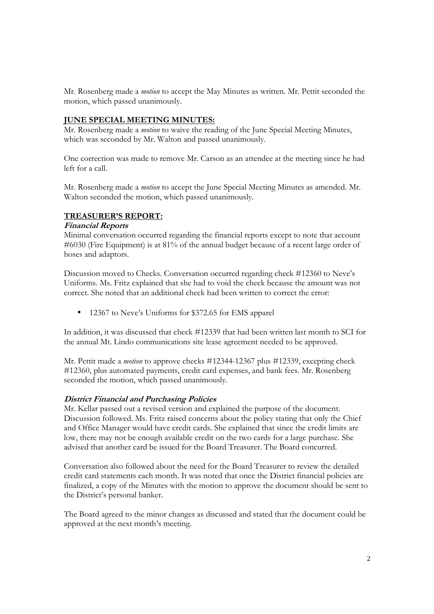Mr. Rosenberg made a *motion* to accept the May Minutes as written. Mr. Pettit seconded the motion, which passed unanimously.

#### **JUNE SPECIAL MEETING MINUTES:**

Mr. Rosenberg made a *motion* to waive the reading of the June Special Meeting Minutes, which was seconded by Mr. Walton and passed unanimously.

One correction was made to remove Mr. Carson as an attendee at the meeting since he had left for a call.

Mr. Rosenberg made a *motion* to accept the June Special Meeting Minutes as amended. Mr. Walton seconded the motion, which passed unanimously.

#### **TREASURER'S REPORT:**

#### **Financial Reports**

Minimal conversation occurred regarding the financial reports except to note that account #6030 (Fire Equipment) is at 81% of the annual budget because of a recent large order of hoses and adaptors.

Discussion moved to Checks. Conversation occurred regarding check #12360 to Neve's Uniforms. Ms. Fritz explained that she had to void the check because the amount was not correct. She noted that an additional check had been written to correct the error:

• 12367 to Neve's Uniforms for \$372.65 for EMS apparel

In addition, it was discussed that check #12339 that had been written last month to SCI for the annual Mt. Lindo communications site lease agreement needed to be approved.

Mr. Pettit made a *motion* to approve checks #12344-12367 plus #12339, excepting check #12360, plus automated payments, credit card expenses, and bank fees. Mr. Rosenberg seconded the motion, which passed unanimously.

#### **District Financial and Purchasing Policies**

Mr. Kellar passed out a revised version and explained the purpose of the document. Discussion followed. Ms. Fritz raised concerns about the policy stating that only the Chief and Office Manager would have credit cards. She explained that since the credit limits are low, there may not be enough available credit on the two cards for a large purchase. She advised that another card be issued for the Board Treasurer. The Board concurred.

Conversation also followed about the need for the Board Treasurer to review the detailed credit card statements each month. It was noted that once the District financial policies are finalized, a copy of the Minutes with the motion to approve the document should be sent to the District's personal banker.

The Board agreed to the minor changes as discussed and stated that the document could be approved at the next month's meeting.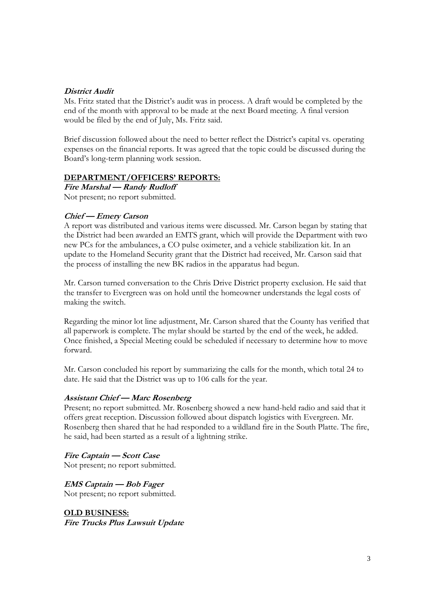#### **District Audit**

Ms. Fritz stated that the District's audit was in process. A draft would be completed by the end of the month with approval to be made at the next Board meeting. A final version would be filed by the end of July, Ms. Fritz said.

Brief discussion followed about the need to better reflect the District's capital vs. operating expenses on the financial reports. It was agreed that the topic could be discussed during the Board's long-term planning work session.

#### **DEPARTMENT/OFFICERS' REPORTS:**

**Fire Marshal — Randy Rudloff**  Not present; no report submitted.

#### **Chief — Emery Carson**

A report was distributed and various items were discussed. Mr. Carson began by stating that the District had been awarded an EMTS grant, which will provide the Department with two new PCs for the ambulances, a CO pulse oximeter, and a vehicle stabilization kit. In an update to the Homeland Security grant that the District had received, Mr. Carson said that the process of installing the new BK radios in the apparatus had begun.

Mr. Carson turned conversation to the Chris Drive District property exclusion. He said that the transfer to Evergreen was on hold until the homeowner understands the legal costs of making the switch.

Regarding the minor lot line adjustment, Mr. Carson shared that the County has verified that all paperwork is complete. The mylar should be started by the end of the week, he added. Once finished, a Special Meeting could be scheduled if necessary to determine how to move forward.

Mr. Carson concluded his report by summarizing the calls for the month, which total 24 to date. He said that the District was up to 106 calls for the year.

#### **Assistant Chief — Marc Rosenberg**

Present; no report submitted. Mr. Rosenberg showed a new hand-held radio and said that it offers great reception. Discussion followed about dispatch logistics with Evergreen. Mr. Rosenberg then shared that he had responded to a wildland fire in the South Platte. The fire, he said, had been started as a result of a lightning strike.

**Fire Captain — Scott Case**  Not present; no report submitted.

**EMS Captain — Bob Fager** Not present; no report submitted.

**OLD BUSINESS: Fire Trucks Plus Lawsuit Update**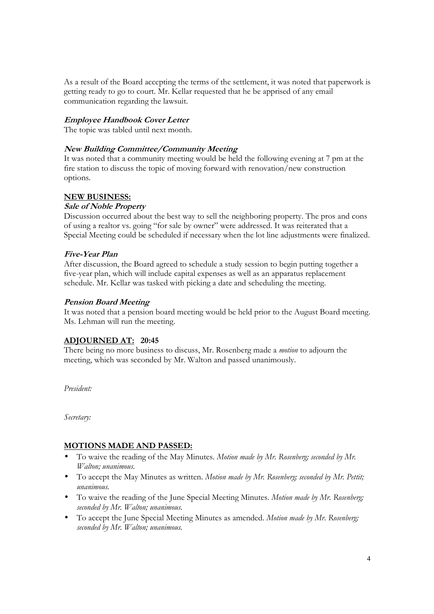As a result of the Board accepting the terms of the settlement, it was noted that paperwork is getting ready to go to court. Mr. Kellar requested that he be apprised of any email communication regarding the lawsuit.

## **Employee Handbook Cover Letter**

The topic was tabled until next month.

## **New Building Committee/Community Meeting**

It was noted that a community meeting would be held the following evening at 7 pm at the fire station to discuss the topic of moving forward with renovation/new construction options.

#### **NEW BUSINESS:**

#### **Sale of Noble Property**

Discussion occurred about the best way to sell the neighboring property. The pros and cons of using a realtor vs. going "for sale by owner" were addressed. It was reiterated that a Special Meeting could be scheduled if necessary when the lot line adjustments were finalized.

#### **Five-Year Plan**

After discussion, the Board agreed to schedule a study session to begin putting together a five-year plan, which will include capital expenses as well as an apparatus replacement schedule. Mr. Kellar was tasked with picking a date and scheduling the meeting.

#### **Pension Board Meeting**

It was noted that a pension board meeting would be held prior to the August Board meeting. Ms. Lehman will run the meeting.

## **ADJOURNED AT: 20:45**

There being no more business to discuss, Mr. Rosenberg made a *motion* to adjourn the meeting, which was seconded by Mr. Walton and passed unanimously.

*President:* 

*Secretary:* 

## **MOTIONS MADE AND PASSED:**

- To waive the reading of the May Minutes. *Motion made by Mr. Rosenberg; seconded by Mr. Walton; unanimous.*
- To accept the May Minutes as written. *Motion made by Mr. Rosenberg; seconded by Mr. Pettit; unanimous.*
- To waive the reading of the June Special Meeting Minutes. *Motion made by Mr. Rosenberg; seconded by Mr. Walton; unanimous.*
- To accept the June Special Meeting Minutes as amended. *Motion made by Mr. Rosenberg; seconded by Mr. Walton; unanimous.*